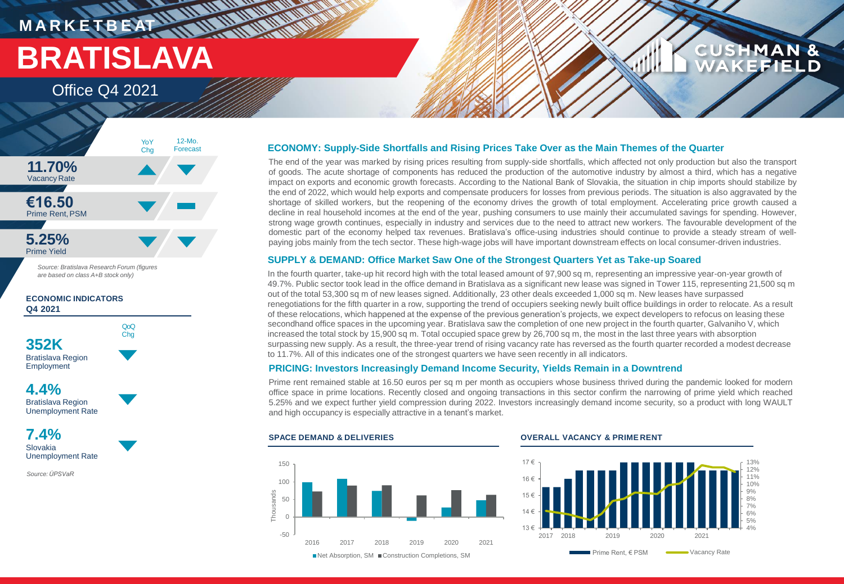## **M A R K E T B E AT BRATISLAVA**

Office Q4 2021



*Source: Bratislava Research Forum (figures are based on class A+B stock only)*

**ECONOMIC INDICATORS Q4 2021**



**4.4%** Bratislava Region Unemployment Rate



*Source:ÚPSVaR*

### **ECONOMY: Supply-Side Shortfalls and Rising Prices Take Over as the Main Themes of the Quarter**

The end of the year was marked by rising prices resulting from supply-side shortfalls, which affected not only production but also the transport of goods. The acute shortage of components has reduced the production of the automotive industry by almost a third, which has a negative impact on exports and economic growth forecasts. According to the National Bank of Slovakia, the situation in chip imports should stabilize by the end of 2022, which would help exports and compensate producers for losses from previous periods. The situation is also aggravated by the shortage of skilled workers, but the reopening of the economy drives the growth of total employment. Accelerating price growth caused a decline in real household incomes at the end of the year, pushing consumers to use mainly their accumulated savings for spending. However, strong wage growth continues, especially in industry and services due to the need to attract new workers. The favourable development of the domestic part of the economy helped tax revenues. Bratislava's office-using industries should continue to provide a steady stream of wellpaying jobs mainly from the tech sector. These high-wage jobs will have important downstream effects on local consumer-driven industries.

### **SUPPLY & DEMAND: Office Market Saw One of the Strongest Quarters Yet as Take-up Soared**

In the fourth quarter, take-up hit record high with the total leased amount of 97,900 sq m, representing an impressive year-on-year growth of 49.7%. Public sector took lead in the office demand in Bratislava as a significant new lease was signed in Tower 115, representing 21,500 sq m out of the total 53,300 sq m of new leases signed. Additionally, 23 other deals exceeded 1,000 sq m. New leases have surpassed renegotiations for the fifth quarter in a row, supporting the trend of occupiers seeking newly built office buildings in order to relocate. As a result of these relocations, which happened at the expense of the previous generation's projects, we expect developers to refocus on leasing these secondhand office spaces in the upcoming year. Bratislava saw the completion of one new project in the fourth quarter, Galvaniho V, which increased the total stock by 15,900 sq m. Total occupied space grew by 26,700 sq m, the most in the last three years with absorption surpassing new supply. As a result, the three-year trend of rising vacancy rate has reversed as the fourth quarter recorded a modest decrease to 11.7%. All of this indicates one of the strongest quarters we have seen recently in all indicators.

#### **PRICING: Investors Increasingly Demand Income Security, Yields Remain in a Downtrend**

Prime rent remained stable at 16.50 euros per sq m per month as occupiers whose business thrived during the pandemic looked for modern office space in prime locations. Recently closed and ongoing transactions in this sector confirm the narrowing of prime yield which reached 5.25% and we expect further yield compression during 2022. Investors increasingly demand income security, so a product with long WAULT and high occupancy is especially attractive in a tenant's market.



#### **SPACE DEMAND & DELIVERIES OVERALL VACANCY & PRIME RENT**



**CUSHMAN &** 

FIELD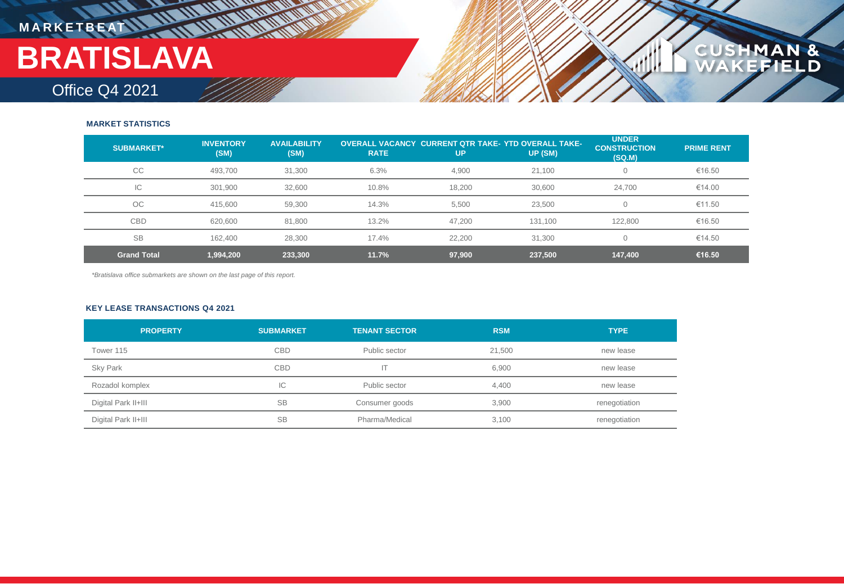## **MARKETBEAT LE THE IN THE IN THE INCH BRATISLAVA**

### Office Q4 2021

#### **MARKET STATISTICS**

| <b>SUBMARKET*</b>  | <b>INVENTORY</b><br>(SM) | <b>AVAILABILITY</b><br>(SM) | <b>RATE</b> | <b>OVERALL VACANCY CURRENT OTR TAKE-YTD OVERALL TAKE-</b><br>UP | UP (SM) | <b>UNDER</b><br><b>CONSTRUCTION</b><br>(SQ.M) | <b>PRIME RENT</b> |
|--------------------|--------------------------|-----------------------------|-------------|-----------------------------------------------------------------|---------|-----------------------------------------------|-------------------|
| CC                 | 493,700                  | 31,300                      | 6.3%        | 4,900                                                           | 21,100  | $\mathbf 0$                                   | €16.50            |
| IC                 | 301,900                  | 32.600                      | 10.8%       | 18.200                                                          | 30.600  | 24.700                                        | €14.00            |
| <b>OC</b>          | 415,600                  | 59,300                      | 14.3%       | 5,500                                                           | 23,500  | $\mathbf 0$                                   | €11.50            |
| CBD                | 620,600                  | 81,800                      | 13.2%       | 47,200                                                          | 131,100 | 122,800                                       | €16.50            |
| <b>SB</b>          | 162.400                  | 28,300                      | 17.4%       | 22,200                                                          | 31,300  |                                               | €14.50            |
| <b>Grand Total</b> | 1,994,200                | 233,300                     | 11.7%       | 97,900                                                          | 237,500 | 147,400                                       | €16.50            |

**CUSHMAN &**<br>WAKEFIELD

*\*Bratislava office submarkets are shown on the last page of this report.*

#### **KEY LEASE TRANSACTIONS Q4 2021**

| <b>PROPERTY</b>     | <b>SUBMARKET</b> | <b>TENANT SECTOR</b> | <b>RSM</b> | <b>TYPE</b>   |
|---------------------|------------------|----------------------|------------|---------------|
| Tower 115           | <b>CBD</b>       | Public sector        | 21,500     | new lease     |
| <b>Sky Park</b>     | CBD              | IΤ                   | 6,900      | new lease     |
| Rozadol komplex     | IС               | Public sector        | 4,400      | new lease     |
| Digital Park II+III | <b>SB</b>        | Consumer goods       | 3.900      | renegotiation |
| Digital Park II+III | <b>SB</b>        | Pharma/Medical       | 3,100      | renegotiation |